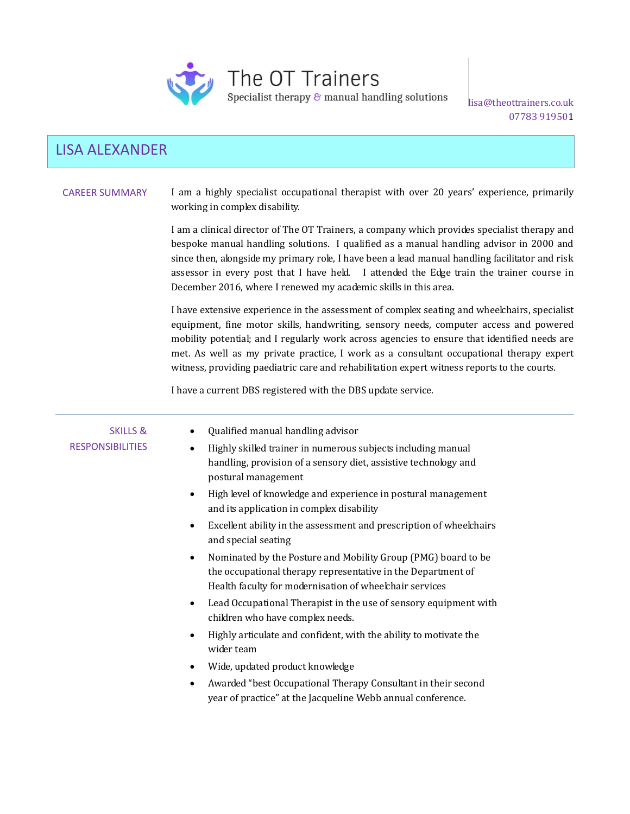

The OT Trainers

Specialist therapy  $\&$  manual handling solutions

lisa@theottrainers.co.uk 07783 919501

# LISA ALEXANDER

# CAREER SUMMARY I am a highly specialist occupational therapist with over 20 years' experience, primarily working in complex disability.

I am a clinical director of The OT Trainers, a company which provides specialist therapy and bespoke manual handling solutions. I qualified as a manual handling advisor in 2000 and since then, alongside my primary role, I have been a lead manual handling facilitator and risk assessor in every post that I have held. I attended the Edge train the trainer course in December 2016, where I renewed my academic skills in this area.

I have extensive experience in the assessment of complex seating and wheelchairs, specialist equipment, fine motor skills, handwriting, sensory needs, computer access and powered mobility potential; and I regularly work across agencies to ensure that identified needs are met. As well as my private practice, I work as a consultant occupational therapy expert witness, providing paediatric care and rehabilitation expert witness reports to the courts.

I have a current DBS registered with the DBS update service.

| <b>SKILLS &amp;</b><br><b>RESPONSIBILITIES</b> | Qualified manual handling advisor<br>Highly skilled trainer in numerous subjects including manual<br>$\bullet$<br>handling, provision of a sensory diet, assistive technology and<br>postural management<br>High level of knowledge and experience in postural management<br>$\bullet$<br>and its application in complex disability<br>Excellent ability in the assessment and prescription of wheelchairs<br>$\bullet$ |
|------------------------------------------------|-------------------------------------------------------------------------------------------------------------------------------------------------------------------------------------------------------------------------------------------------------------------------------------------------------------------------------------------------------------------------------------------------------------------------|
|                                                | and special seating<br>Nominated by the Posture and Mobility Group (PMG) board to be<br>$\bullet$<br>the occupational therapy representative in the Department of<br>Health faculty for modernisation of wheelchair services<br>Lead Occupational Therapist in the use of sensory equipment with<br>$\bullet$<br>children who have complex needs.                                                                       |
|                                                | Highly articulate and confident, with the ability to motivate the<br>$\bullet$<br>wider team<br>Wide, updated product knowledge<br>٠<br>Awarded "best Occupational Therapy Consultant in their second<br>$\bullet$                                                                                                                                                                                                      |
|                                                | year of practice" at the Jacqueline Webb annual conference.                                                                                                                                                                                                                                                                                                                                                             |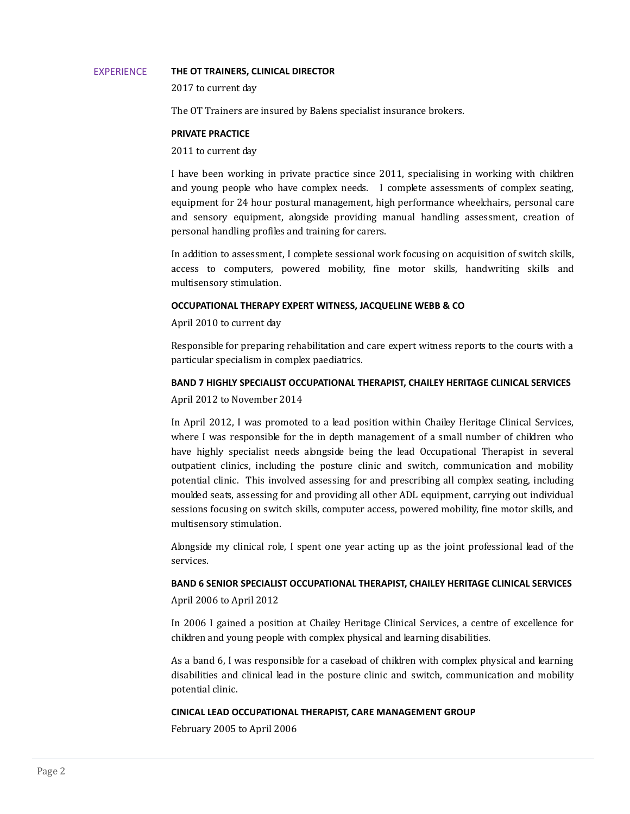#### EXPERIENCE **THE OT TRAINERS, CLINICAL DIRECTOR**

2017 to current day

The OT Trainers are insured by Balens specialist insurance brokers.

## **PRIVATE PRACTICE**

## 2011 to current day

I have been working in private practice since 2011, specialising in working with children and young people who have complex needs. I complete assessments of complex seating, equipment for 24 hour postural management, high performance wheelchairs, personal care and sensory equipment, alongside providing manual handling assessment, creation of personal handling profiles and training for carers.

In addition to assessment, I complete sessional work focusing on acquisition of switch skills, access to computers, powered mobility, fine motor skills, handwriting skills and multisensory stimulation.

## **OCCUPATIONAL THERAPY EXPERT WITNESS, JACQUELINE WEBB & CO**

April 2010 to current day

Responsible for preparing rehabilitation and care expert witness reports to the courts with a particular specialism in complex paediatrics.

## **BAND 7 HIGHLY SPECIALIST OCCUPATIONAL THERAPIST, CHAILEY HERITAGE CLINICAL SERVICES**

April 2012 to November 2014

In April 2012, I was promoted to a lead position within Chailey Heritage Clinical Services, where I was responsible for the in depth management of a small number of children who have highly specialist needs alongside being the lead Occupational Therapist in several outpatient clinics, including the posture clinic and switch, communication and mobility potential clinic. This involved assessing for and prescribing all complex seating, including moulded seats, assessing for and providing all other ADL equipment, carrying out individual sessions focusing on switch skills, computer access, powered mobility, fine motor skills, and multisensory stimulation.

Alongside my clinical role, I spent one year acting up as the joint professional lead of the services.

# **BAND 6 SENIOR SPECIALIST OCCUPATIONAL THERAPIST, CHAILEY HERITAGE CLINICAL SERVICES**

April 2006 to April 2012

In 2006 I gained a position at Chailey Heritage Clinical Services, a centre of excellence for children and young people with complex physical and learning disabilities.

As a band 6, I was responsible for a caseload of children with complex physical and learning disabilities and clinical lead in the posture clinic and switch, communication and mobility potential clinic.

# **CINICAL LEAD OCCUPATIONAL THERAPIST, CARE MANAGEMENT GROUP**

February 2005 to April 2006